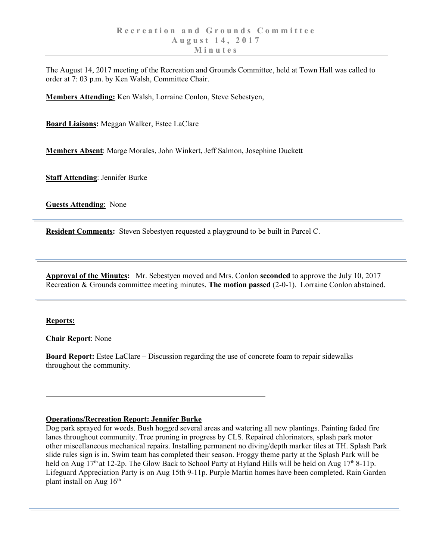The August 14, 2017 meeting of the Recreation and Grounds Committee, held at Town Hall was called to order at 7: 03 p.m. by Ken Walsh, Committee Chair.

**Members Attending:** Ken Walsh, Lorraine Conlon, Steve Sebestyen,

**Board Liaisons:** Meggan Walker, Estee LaClare

**Members Absent**: Marge Morales, John Winkert, Jeff Salmon, Josephine Duckett

**Staff Attending**: Jennifer Burke

**Guests Attending**: None

**Resident Comments:** Steven Sebestyen requested a playground to be built in Parcel C.

**Approval of the Minutes:** Mr. Sebestyen moved and Mrs. Conlon **seconded** to approve the July 10, 2017 Recreation & Grounds committee meeting minutes. **The motion passed** (2-0-1). Lorraine Conlon abstained.

## **Reports:**

**Chair Report**: None

**Board Report:** Estee LaClare – Discussion regarding the use of concrete foam to repair sidewalks throughout the community.

## **Operations/Recreation Report: Jennifer Burke**

Dog park sprayed for weeds. Bush hogged several areas and watering all new plantings. Painting faded fire lanes throughout community. Tree pruning in progress by CLS. Repaired chlorinators, splash park motor other miscellaneous mechanical repairs. Installing permanent no diving/depth marker tiles at TH. Splash Park slide rules sign is in. Swim team has completed their season. Froggy theme party at the Splash Park will be held on Aug  $17<sup>th</sup>$  at 12-2p. The Glow Back to School Party at Hyland Hills will be held on Aug  $17<sup>th</sup>$  8-11p. Lifeguard Appreciation Party is on Aug 15th 9-11p. Purple Martin homes have been completed. Rain Garden plant install on Aug  $16<sup>th</sup>$